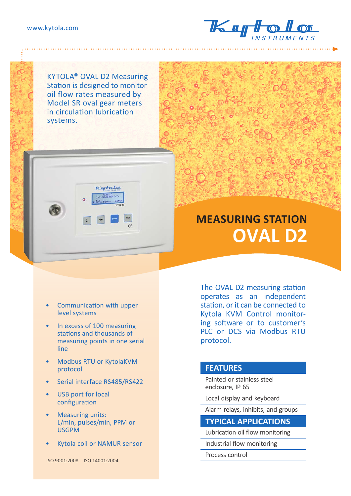

KYTOLA® OVAL D2 Measuring Station is designed to monitor oil flow rates measured by Model SR oval gear meters in circulation lubrication systems.



# **MEASURING STATION OVAL D2**

- Communication with upper level systems
- In excess of 100 measuring stations and thousands of measuring points in one serial line
- Modbus RTU or KytolaKVM protocol
- Serial interface RS485/RS422
- USB port for local configuration
- Measuring units: L/min, pulses/min, PPM or USGPM
- Kytola coil or NAMUR sensor

ISO 9001:2008 ISO 14001:2004

The OVAL D2 measuring station operates as an independent station, or it can be connected to Kytola KVM Control monitoring software or to customer's PLC or DCS via Modbus RTU protocol.

#### **FEATURES**

Painted or stainless steel enclosure, IP 65

Local display and keyboard

Alarm relays, inhibits, and groups

#### **TYPICAL APPLICATIONS**

Lubrication oil flow monitoring

Industrial flow monitoring

Process control